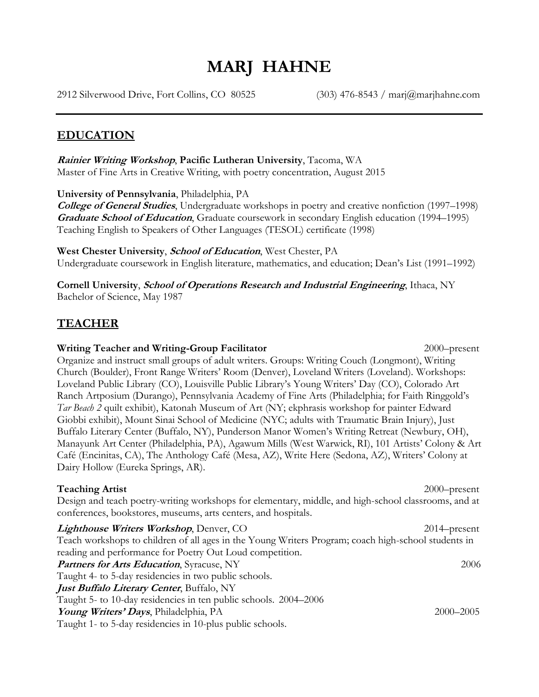# **MARJ HAHNE**

2912 Silverwood Drive, Fort Collins, CO 80525 (303) 476-8543 / marj@marjhahne.com

#### **EDUCATION**

**Rainier Writing Workshop**, **Pacific Lutheran University**, Tacoma, WA Master of Fine Arts in Creative Writing, with poetry concentration, August 2015

**University of Pennsylvania**, Philadelphia, PA

**College of General Studies**, Undergraduate workshops in poetry and creative nonfiction (1997–1998) **Graduate School of Education**, Graduate coursework in secondary English education (1994–1995) Teaching English to Speakers of Other Languages (TESOL) certificate (1998)

**West Chester University**, **School of Education**, West Chester, PA Undergraduate coursework in English literature, mathematics, and education; Dean's List (1991–1992)

**Cornell University**, **School of Operations Research and Industrial Engineering**, Ithaca, NY Bachelor of Science, May 1987

## **TEACHER**

#### **Writing Teacher and Writing-Group Facilitator** 2000–present Organize and instruct small groups of adult writers. Groups: Writing Couch (Longmont), Writing Church (Boulder), Front Range Writers' Room (Denver), Loveland Writers (Loveland). Workshops: Loveland Public Library (CO), Louisville Public Library's Young Writers' Day (CO), Colorado Art Ranch Artposium (Durango), Pennsylvania Academy of Fine Arts (Philadelphia; for Faith Ringgold's *Tar Beach 2* quilt exhibit), Katonah Museum of Art (NY; ekphrasis workshop for painter Edward Giobbi exhibit), Mount Sinai School of Medicine (NYC; adults with Traumatic Brain Injury), Just Buffalo Literary Center (Buffalo, NY), Punderson Manor Women's Writing Retreat (Newbury, OH), Manayunk Art Center (Philadelphia, PA), Agawum Mills (West Warwick, RI), 101 Artists' Colony & Art Café (Encinitas, CA), The Anthology Café (Mesa, AZ), Write Here (Sedona, AZ), Writers' Colony at Dairy Hollow (Eureka Springs, AR).

| <b>Teaching Artist</b>                                                                                                                                                 | $2000$ -present |
|------------------------------------------------------------------------------------------------------------------------------------------------------------------------|-----------------|
| Design and teach poetry-writing workshops for elementary, middle, and high-school classrooms, and at<br>conferences, bookstores, museums, arts centers, and hospitals. |                 |
| <i>Lighthouse Writers Workshop</i> , Denver, CO                                                                                                                        | $2014$ -present |
| Teach workshops to children of all ages in the Young Writers Program; coach high-school students in                                                                    |                 |
| reading and performance for Poetry Out Loud competition.                                                                                                               |                 |
| <b>Partners for Arts Education, Syracuse, NY</b>                                                                                                                       | 2006            |
| Taught 4- to 5-day residencies in two public schools.                                                                                                                  |                 |
| Just Buffalo Literary Center, Buffalo, NY                                                                                                                              |                 |
| Taught 5- to 10-day residencies in ten public schools. 2004–2006                                                                                                       |                 |
| Young Writers' Days, Philadelphia, PA                                                                                                                                  | 2000-2005       |
| Taught 1- to 5-day residencies in 10-plus public schools                                                                                                               |                 |

Taught 1- to 5-day residencies in 10-plus public schools.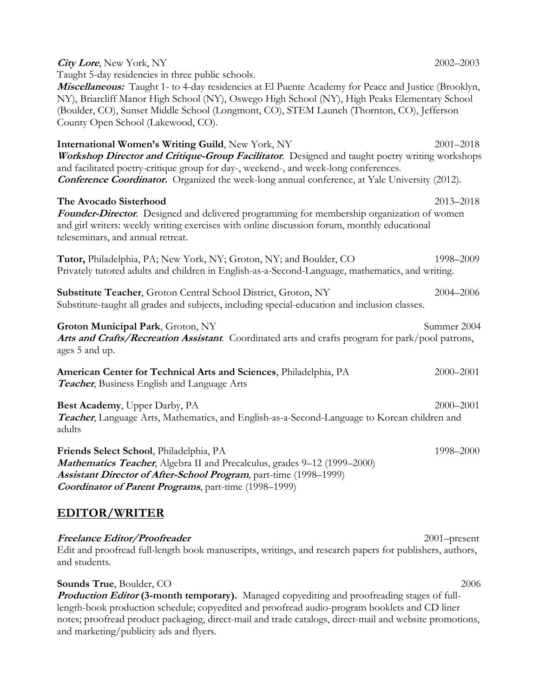| <b>City Lore, New York, NY</b><br>Taught 5-day residencies in three public schools.                                                                                                                                                                                                                                                          | 2002-2003     |
|----------------------------------------------------------------------------------------------------------------------------------------------------------------------------------------------------------------------------------------------------------------------------------------------------------------------------------------------|---------------|
| Miscellaneous: Taught 1- to 4-day residencies at El Puente Academy for Peace and Justice (Brooklyn,<br>NY), Briarcliff Manor High School (NY), Oswego High School (NY), High Peaks Elementary School<br>(Boulder, CO), Sunset Middle School (Longmont, CO), STEM Launch (Thornton, CO), Jefferson<br>County Open School (Lakewood, CO).      |               |
| International Women's Writing Guild, New York, NY<br>Workshop Director and Critique-Group Facilitator. Designed and taught poetry writing workshops<br>and facilitated poetry-critique group for day-, weekend-, and week-long conferences.<br>Conference Coordinator. Organized the week-long annual conference, at Yale University (2012). | $2001 - 2018$ |
| The Avocado Sisterhood<br><b>Founder-Director.</b> Designed and delivered programming for membership organization of women<br>and girl writers: weekly writing exercises with online discussion forum, monthly educational<br>teleseminars, and annual retreat.                                                                              | 2013-2018     |
| Tutor, Philadelphia, PA; New York, NY; Groton, NY; and Boulder, CO<br>Privately tutored adults and children in English-as-a-Second-Language, mathematics, and writing.                                                                                                                                                                       | 1998-2009     |
| Substitute Teacher, Groton Central School District, Groton, NY<br>Substitute-taught all grades and subjects, including special-education and inclusion classes.                                                                                                                                                                              | 2004-2006     |
| Groton Municipal Park, Groton, NY<br>Arts and Crafts/Recreation Assistant. Coordinated arts and crafts program for park/pool patrons,<br>ages 5 and up.                                                                                                                                                                                      | Summer 2004   |
| American Center for Technical Arts and Sciences, Philadelphia, PA<br><b>Teacher</b> , Business English and Language Arts                                                                                                                                                                                                                     | 2000-2001     |
| Best Academy, Upper Darby, PA<br>Teacher, Language Arts, Mathematics, and English-as-a-Second-Language to Korean children and<br>adults                                                                                                                                                                                                      | $2000 - 2001$ |
| Friends Select School, Philadelphia, PA<br>Mathematics Teacher, Algebra II and Precalculus, grades 9-12 (1999-2000)<br>Assistant Director of After-School Program, part-time (1998-1999)<br><b>Coordinator of Parent Programs</b> , part-time (1998-1999)                                                                                    | 1998-2000     |
| <b>EDITOR/WRITER</b>                                                                                                                                                                                                                                                                                                                         |               |

**Freelance Editor/Proofreader** 2001–present Edit and proofread full-length book manuscripts, writings, and research papers for publishers, authors, and students.

**Sounds True**, Boulder, CO 2006 **Production Editor (3-month temporary).** Managed copyediting and proofreading stages of fulllength-book production schedule; copyedited and proofread audio-program booklets and CD liner notes; proofread product packaging, direct-mail and trade catalogs, direct-mail and website promotions, and marketing/publicity ads and flyers.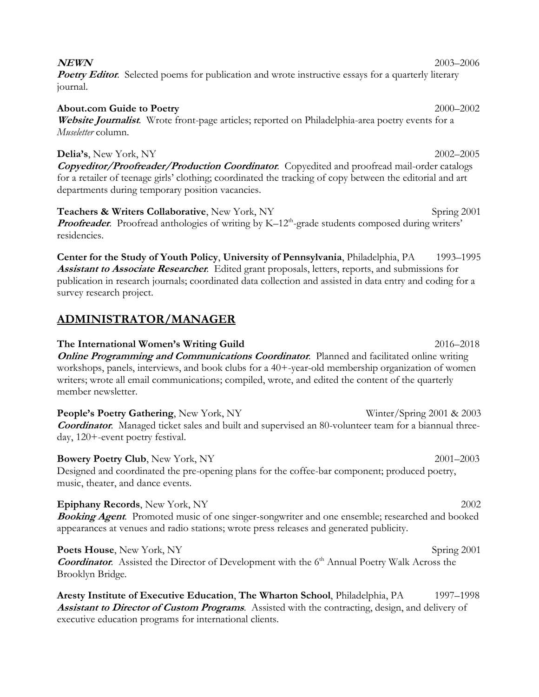| <b>About.com Guide to Poetry</b> |                                                                                                  | $2000 - 2002$ |
|----------------------------------|--------------------------------------------------------------------------------------------------|---------------|
|                                  | Website Journalist. Wrote front-page articles; reported on Philadelphia-area poetry events for a |               |
| <i>Museletter</i> column.        |                                                                                                  |               |

**Delia's**, New York, NY 2002–2005 **Copyeditor/Proofreader/Production Coordinator**. Copyedited and proofread mail-order catalogs for a retailer of teenage girls' clothing; coordinated the tracking of copy between the editorial and art departments during temporary position vacancies.

**Teachers & Writers Collaborative**, New York, NY **Spring 2001** Spring 2001 **Proofreader**. Proofread anthologies of writing by K-12<sup>th</sup>-grade students composed during writers' residencies.

**Center for the Study of Youth Policy**, **University of Pennsylvania**, Philadelphia, PA 1993–1995 **Assistant to Associate Researcher**. Edited grant proposals, letters, reports, and submissions for publication in research journals; coordinated data collection and assisted in data entry and coding for a survey research project.

## **ADMINISTRATOR/MANAGER**

**The International Women's Writing Guild** 2016–2018 **Online Programming and Communications Coordinator.** Planned and facilitated online writing workshops, panels, interviews, and book clubs for a 40+-year-old membership organization of women writers; wrote all email communications; compiled, wrote, and edited the content of the quarterly member newsletter.

**People's Poetry Gathering**, New York, NY *Winter/Spring 2001 & 2003* **Coordinator.** Managed ticket sales and built and supervised an 80-volunteer team for a biannual threeday, 120+-event poetry festival.

**Bowery Poetry Club**, New York, NY 2001–2003 Designed and coordinated the pre-opening plans for the coffee-bar component; produced poetry, music, theater, and dance events.

**Epiphany Records**, New York, NY 2002 **Booking Agent**. Promoted music of one singer-songwriter and one ensemble; researched and booked appearances at venues and radio stations; wrote press releases and generated publicity.

**Poets House**, New York, NY Spring 2001 **Coordinator.** Assisted the Director of Development with the 6<sup>th</sup> Annual Poetry Walk Across the Brooklyn Bridge.

**Aresty Institute of Executive Education**, **The Wharton School**, Philadelphia, PA 1997–1998 **Assistant to Director of Custom Programs**. Assisted with the contracting, design, and delivery of executive education programs for international clients.

#### **NEWN** 2003–2006

**Poetry Editor.** Selected poems for publication and wrote instructive essays for a quarterly literary journal.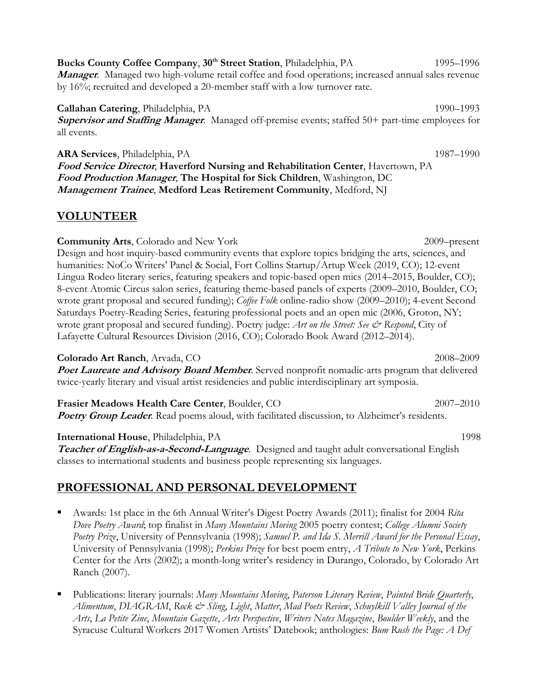**Bucks County Coffee Company, 30<sup>th</sup> Street Station, Philadelphia, PA 1995–1996 Manager**. Managed two high-volume retail coffee and food operations; increased annual sales revenue by 16%; recruited and developed a 20-member staff with a low turnover rate.

**Callahan Catering**, Philadelphia, PA 1990–1993 **Supervisor and Staffing Manager**. Managed off-premise events; staffed 50+ part-time employees for all events.

**ARA Services**, Philadelphia, PA1987–1990 **Food Service Director**, **Haverford Nursing and Rehabilitation Center**, Havertown, PA **Food Production Manager**, **The Hospital for Sick Children**, Washington, DC **Management Trainee**, **Medford Leas Retirement Community**, Medford, NJ

## **VOLUNTEER**

**Community Arts**, Colorado and New York2009–present Design and host inquiry-based community events that explore topics bridging the arts, sciences, and humanities: NoCo Writers' Panel & Social, Fort Collins Startup/Artup Week (2019, CO); 12-event Lingua Rodeo literary series, featuring speakers and topic-based open mics (2014–2015, Boulder, CO); 8-event Atomic Circus salon series, featuring theme-based panels of experts (2009–2010, Boulder, CO; wrote grant proposal and secured funding); *Coffee Folk* online-radio show (2009–2010); 4-event Second Saturdays Poetry-Reading Series, featuring professional poets and an open mic (2006, Groton, NY; wrote grant proposal and secured funding). Poetry judge: *Art on the Street: See & Respond*, City of Lafayette Cultural Resources Division (2016, CO); Colorado Book Award (2012–2014).

**Colorado Art Ranch**, Arvada, CO 2008–2009 **Poet Laureate and Advisory Board Member**. Served nonprofit nomadic-arts program that delivered twice-yearly literary and visual artist residencies and public interdisciplinary art symposia.

**Frasier Meadows Health Care Center**, Boulder, CO 2007–2010 **Poetry Group Leader.** Read poems aloud, with facilitated discussion, to Alzheimer's residents.

**International House**, Philadelphia, PA 1998

**Teacher of English-as-a-Second-Language**. Designed and taught adult conversational English classes to international students and business people representing six languages.

# **PROFESSIONAL AND PERSONAL DEVELOPMENT**

- Awards: 1st place in the 6th Annual Writer's Digest Poetry Awards (2011); finalist for 2004 *Rita Dove Poetry Award*; top finalist in *Many Mountains Moving* 2005 poetry contest; *College Alumni Society Poetry Prize*, University of Pennsylvania (1998); *Samuel P. and Ida S. Merrill Award for the Personal Essay*, University of Pennsylvania (1998); *Perkins Prize* for best poem entry, *A Tribute to New York*, Perkins Center for the Arts (2002); a month-long writer's residency in Durango, Colorado, by Colorado Art Ranch (2007).
- Publications: literary journals: *Many Mountains Moving*, *Paterson Literary Review*, *Painted Bride Quarterly*, *Alimentum*, *DIAGRAM*, *Rock & Sling*, *Light*, *Matter*, *Mad Poets Review*, *Schuylkill Valley Journal of the Arts*, *La Petite Zine*, *Mountain Gazette*, *Arts Perspective*, *Writers Notes Magazine*, *Boulder Weekly*, and the Syracuse Cultural Workers 2017 Women Artists' Datebook; anthologies: *Bum Rush the Page: A Def*